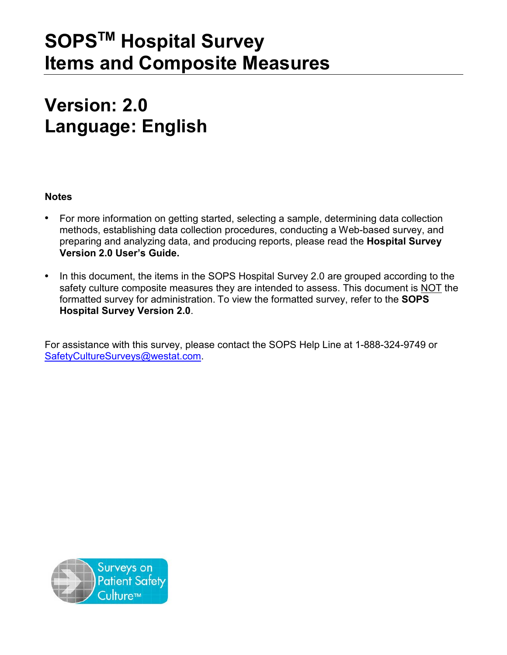# **SOPSTM Hospital Survey Items and Composite Measures**

# **Version: 2.0 Language: English**

# **Notes**

- For more information on getting started, selecting a sample, determining data collection methods, establishing data collection procedures, conducting a Web-based survey, and preparing and analyzing data, and producing reports, please read the **Hospital Survey Version 2.0 User's Guide.**
- In this document, the items in the SOPS Hospital Survey 2.0 are grouped according to the safety culture composite measures they are intended to assess. This document is NOT the formatted survey for administration. To view the formatted survey, refer to the **SOPS Hospital Survey Version 2.0**.

For assistance with this survey, please contact the SOPS Help Line at 1-888-324-9749 or [SafetyCultureSurveys@westat.com.](mailto:SafetyCultureSurveys@westat.com)

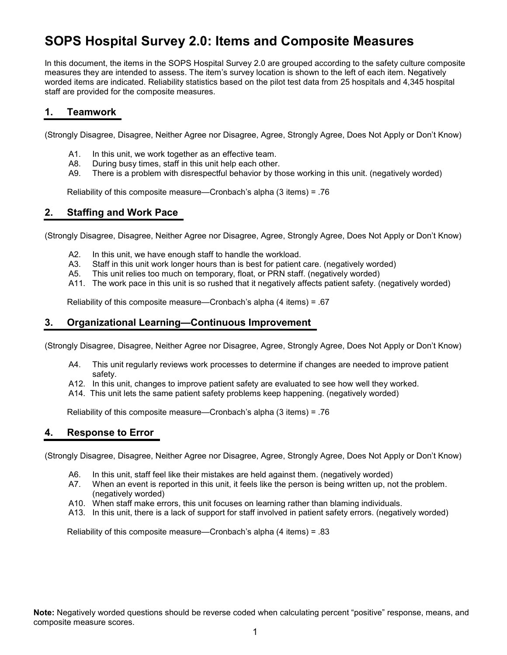# **SOPS Hospital Survey 2.0: Items and Composite Measures**

In this document, the items in the SOPS Hospital Survey 2.0 are grouped according to the safety culture composite measures they are intended to assess. The item's survey location is shown to the left of each item. Negatively worded items are indicated. Reliability statistics based on the pilot test data from 25 hospitals and 4,345 hospital staff are provided for the composite measures.

#### **1. Teamwork**

(Strongly Disagree, Disagree, Neither Agree nor Disagree, Agree, Strongly Agree, Does Not Apply or Don't Know)

- A1. In this unit, we work together as an effective team.
- A8. During busy times, staff in this unit help each other.
- A9. There is a problem with disrespectful behavior by those working in this unit. (negatively worded)

Reliability of this composite measure—Cronbach's alpha (3 items) = .76

#### **2. Staffing and Work Pace**

(Strongly Disagree, Disagree, Neither Agree nor Disagree, Agree, Strongly Agree, Does Not Apply or Don't Know)

- A2. In this unit, we have enough staff to handle the workload.
- A3. Staff in this unit work longer hours than is best for patient care. (negatively worded)
- A5. This unit relies too much on temporary, float, or PRN staff. (negatively worded)
- A11. The work pace in this unit is so rushed that it negatively affects patient safety. (negatively worded)

Reliability of this composite measure—Cronbach's alpha (4 items) = .67

## **3. Organizational Learning—Continuous Improvement**

(Strongly Disagree, Disagree, Neither Agree nor Disagree, Agree, Strongly Agree, Does Not Apply or Don't Know)

- A4. This unit regularly reviews work processes to determine if changes are needed to improve patient safety.
- A12. In this unit, changes to improve patient safety are evaluated to see how well they worked.
- A14. This unit lets the same patient safety problems keep happening. (negatively worded)

Reliability of this composite measure—Cronbach's alpha (3 items) = .76

# **4. Response to Error**

(Strongly Disagree, Disagree, Neither Agree nor Disagree, Agree, Strongly Agree, Does Not Apply or Don't Know)

- A6. In this unit, staff feel like their mistakes are held against them. (negatively worded)
- A7. When an event is reported in this unit, it feels like the person is being written up, not the problem. (negatively worded)
- A10. When staff make errors, this unit focuses on learning rather than blaming individuals.
- A13. In this unit, there is a lack of support for staff involved in patient safety errors. (negatively worded)

Reliability of this composite measure—Cronbach's alpha (4 items) = .83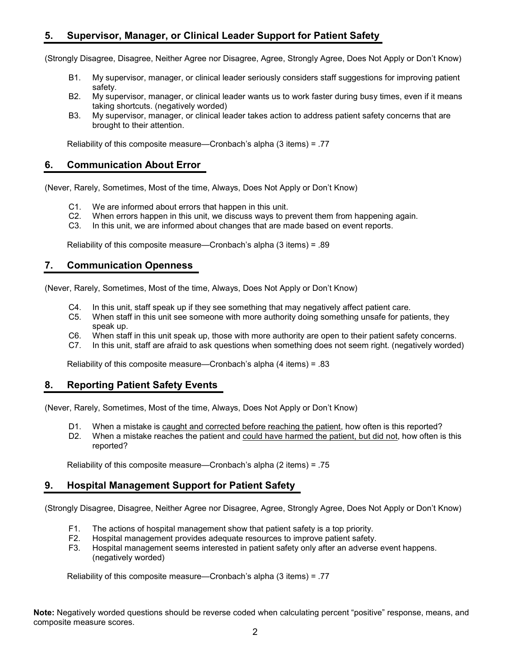# **5. Supervisor, Manager, or Clinical Leader Support for Patient Safety**

(Strongly Disagree, Disagree, Neither Agree nor Disagree, Agree, Strongly Agree, Does Not Apply or Don't Know)

- B1. My supervisor, manager, or clinical leader seriously considers staff suggestions for improving patient safety.
- B2. My supervisor, manager, or clinical leader wants us to work faster during busy times, even if it means taking shortcuts. (negatively worded)
- B3. My supervisor, manager, or clinical leader takes action to address patient safety concerns that are brought to their attention.

Reliability of this composite measure—Cronbach's alpha (3 items) = .77

### **6. Communication About Error**

(Never, Rarely, Sometimes, Most of the time, Always, Does Not Apply or Don't Know)

- C1. We are informed about errors that happen in this unit.
- C2. When errors happen in this unit, we discuss ways to prevent them from happening again.
- C3. In this unit, we are informed about changes that are made based on event reports.

Reliability of this composite measure—Cronbach's alpha (3 items) = .89

#### **7. Communication Openness**

(Never, Rarely, Sometimes, Most of the time, Always, Does Not Apply or Don't Know)

- C4. In this unit, staff speak up if they see something that may negatively affect patient care.
- C5. When staff in this unit see someone with more authority doing something unsafe for patients, they speak up.
- C6. When staff in this unit speak up, those with more authority are open to their patient safety concerns.
- C7. In this unit, staff are afraid to ask questions when something does not seem right. (negatively worded)

Reliability of this composite measure—Cronbach's alpha (4 items) = .83

# **8. Reporting Patient Safety Events**

(Never, Rarely, Sometimes, Most of the time, Always, Does Not Apply or Don't Know)

- D1. When a mistake is caught and corrected before reaching the patient, how often is this reported?
- D2. When a mistake reaches the patient and could have harmed the patient, but did not, how often is this reported?

Reliability of this composite measure—Cronbach's alpha (2 items) = .75

#### **9. Hospital Management Support for Patient Safety**

(Strongly Disagree, Disagree, Neither Agree nor Disagree, Agree, Strongly Agree, Does Not Apply or Don't Know)

- F1. The actions of hospital management show that patient safety is a top priority.
- F2. Hospital management provides adequate resources to improve patient safety.
- F3. Hospital management seems interested in patient safety only after an adverse event happens. (negatively worded)

Reliability of this composite measure—Cronbach's alpha (3 items) = .77

**Note:** Negatively worded questions should be reverse coded when calculating percent "positive" response, means, and composite measure scores.